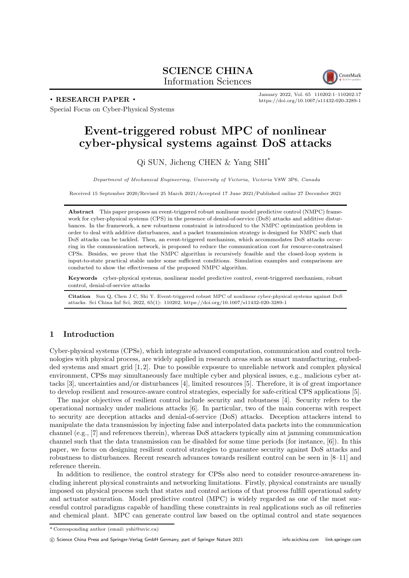# SCIENCE CHINA Information Sciences



. RESEARCH PAPER .

January 2022, Vol. 65 110202:1–110202[:17](#page-16-0) <https://doi.org/10.1007/s11432-020-3289-1>

Special Focus on Cyber-Physical Systems

# Event-triggered robust MPC of nonlinear cyber-physical systems against DoS attacks

# Qi SUN, Jicheng CHEN & Yang SHI\*

Department of Mechanical Engineering, University of Victoria, Victoria V8W 3P6, Canada

Received 15 September 2020/Revised 25 March 2021/Accepted 17 June 2021/Published online 27 December 2021

Abstract This paper proposes an event-triggered robust nonlinear model predictive control (NMPC) framework for cyber-physical systems (CPS) in the presence of denial-of-service (DoS) attacks and additive disturbances. In the framework, a new robustness constraint is introduced to the NMPC optimization problem in order to deal with additive disturbances, and a packet transmission strategy is designed for NMPC such that DoS attacks can be tackled. Then, an event-triggered mechanism, which accommodates DoS attacks occurring in the communication network, is proposed to reduce the communication cost for resource-constrained CPSs. Besides, we prove that the NMPC algorithm is recursively feasible and the closed-loop system is input-to-state practical stable under some sufficient conditions. Simulation examples and comparisons are conducted to show the effectiveness of the proposed NMPC algorithm.

Keywords cyber-physical systems, nonlinear model predictive control, event-triggered mechanism, robust control, denial-of-service attacks

Citation Sun Q, Chen J C, Shi Y. Event-triggered robust MPC of nonlinear cyber-physical systems against DoS attacks. Sci China Inf Sci, 2022, 65(1): 110202,<https://doi.org/10.1007/s11432-020-3289-1>

# 1 Introduction

Cyber-physical systems (CPSs), which integrate advanced computation, communication and control technologies with physical process, are widely applied in research areas such as smart manufacturing, embedded systems and smart grid [\[1,](#page-15-0) [2\]](#page-15-1). Due to possible exposure to unreliable network and complex physical environment, CPSs may simultaneously face multiple cyber and physical issues, e.g., malicious cyber attacks [\[3\]](#page-15-2), uncertainties and/or disturbances [\[4\]](#page-15-3), limited resources [\[5\]](#page-15-4). Therefore, it is of great importance to develop resilient and resource-aware control strategies, especially for safe-critical CPS applications [\[5\]](#page-15-4).

The major objectives of resilient control include security and robustness [\[4\]](#page-15-3). Security refers to the operational normalcy under malicious attacks [\[6\]](#page-15-5). In particular, two of the main concerns with respect to security are deception attacks and denial-of-service (DoS) attacks. Deception attackers intend to manipulate the data transmission by injecting false and interpolated data packets into the communication channel (e.g., [\[7\]](#page-15-6) and references therein), whereas DoS attackers typically aim at jamming communication channel such that the data transmission can be disabled for some time periods (for instance, [\[6\]](#page-15-5)). In this paper, we focus on designing resilient control strategies to guarantee security against DoS attacks and robustness to disturbances. Recent research advances towards resilient control can be seen in [\[8](#page-15-7)[–11\]](#page-15-8) and reference therein.

In addition to resilience, the control strategy for CPSs also need to consider resource-awareness including inherent physical constraints and networking limitations. Firstly, physical constraints are usually imposed on physical process such that states and control actions of that process fulfill operational safety and actuator saturation. Model predictive control (MPC) is widely regarded as one of the most successful control paradigms capable of handling these constraints in real applications such as oil refineries and chemical plant. MPC can generate control law based on the optimal control and state sequences

(C) Science China Press and Springer-Verlag GmbH Germany, part of Springer Nature 2021<info.scichina.com><link.springer.com>

<sup>\*</sup> Corresponding author (email: yshi@uvic.ca)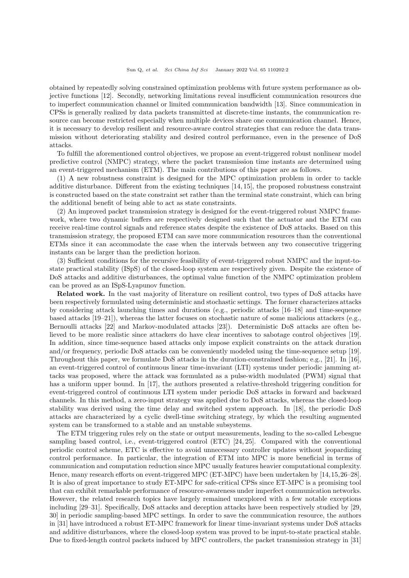obtained by repeatedly solving constrained optimization problems with future system performance as objective functions [\[12\]](#page-15-9). Secondly, networking limitations reveal insufficient communication resources due to imperfect communication channel or limited communication bandwidth [\[13\]](#page-15-10). Since communication in CPSs is generally realized by data packets transmitted at discrete-time instants, the communication resource can become restricted especially when multiple devices share one communication channel. Hence, it is necessary to develop resilient and resource-aware control strategies that can reduce the data transmission without deteriorating stability and desired control performance, even in the presence of DoS attacks.

To fulfill the aforementioned control objectives, we propose an event-triggered robust nonlinear model predictive control (NMPC) strategy, where the packet transmission time instants are determined using an event-triggered mechanism (ETM). The main contributions of this paper are as follows.

(1) A new robustness constraint is designed for the MPC optimization problem in order to tackle additive disturbance. Different from the existing techniques [\[14,](#page-15-11) [15\]](#page-15-12), the proposed robustness constraint is constructed based on the state constraint set rather than the terminal state constraint, which can bring the additional benefit of being able to act as state constraints.

(2) An improved packet transmission strategy is designed for the event-triggered robust NMPC framework, where two dynamic buffers are respectively designed such that the actuator and the ETM can receive real-time control signals and reference states despite the existence of DoS attacks. Based on this transmission strategy, the proposed ETM can save more communication resources than the conventional ETMs since it can accommodate the case when the intervals between any two consecutive triggering instants can be larger than the prediction horizon.

(3) Sufficient conditions for the recursive feasibility of event-triggered robust NMPC and the input-tostate practical stability (ISpS) of the closed-loop system are respectively given. Despite the existence of DoS attacks and additive disturbances, the optimal value function of the NMPC optimization problem can be proved as an ISpS-Lyapunov function.

Related work. In the vast majority of literature on resilient control, two types of DoS attacks have been respectively formulated using deterministic and stochastic settings. The former characterizes attacks by considering attack launching times and durations (e.g., periodic attacks [\[16–](#page-15-13)[18\]](#page-16-1) and time-sequence based attacks [\[19–](#page-16-2)[21\]](#page-16-3)), whereas the latter focuses on stochastic nature of some malicious attackers (e.g., Bernoulli attacks [\[22\]](#page-16-4) and Markov-modulated attacks [\[23\]](#page-16-5)). Deterministic DoS attacks are often believed to be more realistic since attackers do have clear incentives to sabotage control objectives [\[19\]](#page-16-2). In addition, since time-sequence based attacks only impose explicit constraints on the attack duration and/or frequency, periodic DoS attacks can be conveniently modeled using the time-sequence setup [\[19\]](#page-16-2). Throughout this paper, we formulate DoS attacks in the duration-constrained fashion; e.g., [\[21\]](#page-16-3). In [\[16\]](#page-15-13), an event-triggered control of continuous linear time-invariant (LTI) systems under periodic jamming attacks was proposed, where the attack was formulated as a pulse-width modulated (PWM) signal that has a uniform upper bound. In [\[17\]](#page-15-14), the authors presented a relative-threshold triggering condition for event-triggered control of continuous LTI system under periodic DoS attacks in forward and backward channels. In this method, a zero-input strategy was applied due to DoS attacks, whereas the closed-loop stability was derived using the time delay and switched system approach. In [\[18\]](#page-16-1), the periodic DoS attacks are characterized by a cyclic dwell-time switching strategy, by which the resulting augmented system can be transformed to a stable and an unstable subsystems.

The ETM triggering rules rely on the state or output measurements, leading to the so-called Lebesgue sampling based control, i.e., event-triggered control (ETC) [\[24,](#page-16-6) [25\]](#page-16-7). Compared with the conventional periodic control scheme, ETC is effective to avoid unnecessary controller updates without jeopardizing control performance. In particular, the integration of ETM into MPC is more beneficial in terms of communication and computation reduction since MPC usually features heavier computational complexity. Hence, many research efforts on event-triggered MPC (ET-MPC) have been undertaken by [\[14,](#page-15-11)[15,](#page-15-12)[26](#page-16-8)[–28\]](#page-16-9). It is also of great importance to study ET-MPC for safe-critical CPSs since ET-MPC is a promising tool that can exhibit remarkable performance of resource-awareness under imperfect communication networks. However, the related research topics have largely remained unexplored with a few notable exceptions including [\[29–](#page-16-10)[31\]](#page-16-11). Specifically, DoS attacks and deception attacks have been respectively studied by [\[29,](#page-16-10) [30\]](#page-16-12) in periodic sampling-based MPC settings. In order to save the communication resource, the authors in [\[31\]](#page-16-11) have introduced a robust ET-MPC framework for linear time-invariant systems under DoS attacks and additive disturbances, where the closed-loop system was proved to be input-to-state practical stable. Due to fixed-length control packets induced by MPC controllers, the packet transmission strategy in [\[31\]](#page-16-11)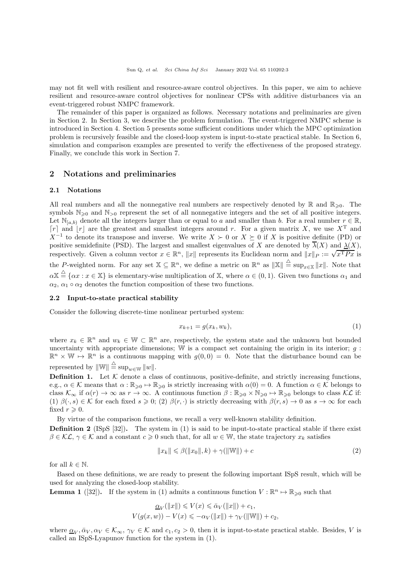may not fit well with resilient and resource-aware control objectives. In this paper, we aim to achieve resilient and resource-aware control objectives for nonlinear CPSs with additive disturbances via an event-triggered robust NMPC framework.

The remainder of this paper is organized as follows. Necessary notations and preliminaries are given in Section [2.](#page-2-0) In Section [3,](#page-3-0) we describe the problem formulation. The event-triggered NMPC scheme is introduced in Section [4.](#page-4-0) Section [5](#page-7-0) presents some sufficient conditions under which the MPC optimization problem is recursively feasible and the closed-loop system is input-to-state practical stable. In Section [6,](#page-13-0) simulation and comparison examples are presented to verify the effectiveness of the proposed strategy. Finally, we conclude this work in Section [7.](#page-15-15)

### <span id="page-2-0"></span>2 Notations and preliminaries

#### 2.1 Notations

All real numbers and all the nonnegative real numbers are respectively denoted by  $\mathbb R$  and  $\mathbb R_{\geq 0}$ . The symbols  $\mathbb{N}_{\geq 0}$  and  $\mathbb{N}_{>0}$  represent the set of all nonnegative integers and the set of all positive integers. Let  $\mathbb{N}_{[a,b]}$  denote all the integers larger than or equal to a and smaller than b. For a real number  $r \in \mathbb{R}$ ,  $[r]$  and  $[r]$  are the greatest and smallest integers around r. For a given matrix X, we use  $X<sup>T</sup>$  and  $X^{-1}$  to denote its transpose and inverse. We write  $X \succ 0$  or  $X \succeq 0$  if X is positive definite (PD) or positive semidefinite (PSD). The largest and smallest eigenvalues of X are denoted by  $\overline{\lambda}(X)$  and  $\lambda(X)$ , respectively. Given a column vector  $x \in \mathbb{R}^n$ ,  $||x||$  represents its Euclidean norm and  $||x||_P := \sqrt{x^T P x}$  is the P-weighted norm. For any set  $\mathbb{X} \subseteq \mathbb{R}^n$ , we define a metric on  $\mathbb{R}^n$  as  $\|\mathbb{X}\| \triangleq \sup_{x \in \mathbb{X}} \|x\|$ . Note that  $\alpha \mathbb{X} \stackrel{\triangle}{=} \{\alpha x : x \in \mathbb{X}\}\$ is elementary-wise multiplication of X, where  $\alpha \in (0,1)$ . Given two functions  $\alpha_1$  and  $\alpha_2, \alpha_1 \circ \alpha_2$  denotes the function composition of these two functions.

#### 2.2 Input-to-state practical stability

Consider the following discrete-time nonlinear perturbed system:

<span id="page-2-1"></span>
$$
x_{k+1} = g(x_k, w_k),\tag{1}
$$

where  $x_k \in \mathbb{R}^n$  and  $w_k \in \mathbb{W} \subset \mathbb{R}^n$  are, respectively, the system state and the unknown but bounded uncertainty with appropriate dimensions; W is a compact set containing the origin in its interior;  $g$ :  $\mathbb{R}^n \times \mathbb{W} \mapsto \mathbb{R}^n$  is a continuous mapping with  $g(0, 0) = 0$ . Note that the disturbance bound can be represented by  $\|\mathbb{W}\| \stackrel{\triangle}{=} \sup_{w \in \mathbb{W}} \|w\|.$ 

**Definition 1.** Let  $K$  denote a class of continuous, positive-definite, and strictly increasing functions, e.g.,  $\alpha \in \mathcal{K}$  means that  $\alpha : \mathbb{R}_{\geqslant 0} \mapsto \mathbb{R}_{\geqslant 0}$  is strictly increasing with  $\alpha(0) = 0$ . A function  $\alpha \in \mathcal{K}$  belongs to class  $\mathcal{K}_{\infty}$  if  $\alpha(r) \to \infty$  as  $r \to \infty$ . A continuous function  $\beta : \mathbb{R}_{\geqslant 0} \times \mathbb{N}_{\geqslant 0} \mapsto \mathbb{R}_{\geqslant 0}$  belongs to class  $\mathcal{KL}$  if: (1)  $\beta(\cdot, s) \in \mathcal{K}$  for each fixed  $s \geq 0$ ; (2)  $\beta(r, \cdot)$  is strictly decreasing with  $\beta(r, s) \to 0$  as  $s \to \infty$  for each fixed  $r \geqslant 0$ .

By virtue of the comparison functions, we recall a very well-known stability definition.

**Definition 2** (ISpS  $[32]$ ). The system in [\(1\)](#page-2-1) is said to be input-to-state practical stable if there exist  $\beta \in \mathcal{KL}, \gamma \in \mathcal{K}$  and a constant  $c \geq 0$  such that, for all  $w \in \mathbb{W}$ , the state trajectory  $x_k$  satisfies

$$
||x_k|| \leq \beta(||x_0||, k) + \gamma(||\mathbb{W}||) + c \tag{2}
$$

for all  $k \in \mathbb{N}$ .

Based on these definitions, we are ready to present the following important ISpS result, which will be used for analyzing the closed-loop stability.

**Lemma 1** ([\[32\]](#page-16-13)). If the system in [\(1\)](#page-2-1) admits a continuous function  $V : \mathbb{R}^n \to \mathbb{R}_{\geqslant 0}$  such that

$$
\underline{\alpha}_V(||x||) \leqslant V(x) \leqslant \bar{\alpha}_V(||x||) + c_1,
$$
  

$$
V(g(x, w)) - V(x) \leqslant -\alpha_V(||x||) + \gamma_V(||W||) + c_2,
$$

where  $\underline{\alpha}_V, \overline{\alpha}_V, \alpha_V \in \mathcal{K}_{\infty}, \gamma_V \in \mathcal{K}$  and  $c_1, c_2 > 0$ , then it is input-to-state practical stable. Besides, V is called an ISpS-Lyapunov function for the system in [\(1\)](#page-2-1).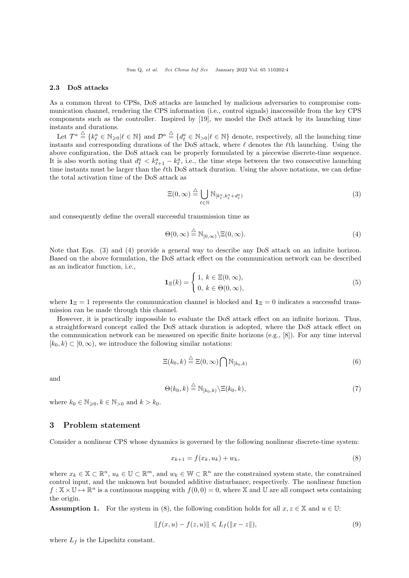### 2.3 DoS attacks

As a common threat to CPSs, DoS attacks are launched by malicious adversaries to compromise communication channel, rendering the CPS information (i.e., control signals) inaccessible from the key CPS components such as the controller. Inspired by [\[19\]](#page-16-2), we model the DoS attack by its launching time instants and durations.

Let  $\mathcal{T}^a \stackrel{\triangle}{=} \{k^a_\ell \in \mathbb{N}_{\geq 0} | \ell \in \mathbb{N}\}\$  and  $\mathcal{D}^a \stackrel{\triangle}{=} \{d^a_\ell \in \mathbb{N}_{\geq 0} | \ell \in \mathbb{N}\}\$  denote, respectively, all the launching time instants and corresponding durations of the DoS attack, where  $\ell$  denotes the  $\ell$ th launching. Using the above configuration, the DoS attack can be properly formulated by a piecewise discrete-time sequence. It is also worth noting that  $d_{\ell}^a < k_{\ell+1}^a - k_{\ell}^a$ , i.e., the time steps between the two consecutive launching time instants must be larger than the  $\ell$ th DoS attack duration. Using the above notations, we can define the total activation time of the DoS attack as

<span id="page-3-1"></span>
$$
\Xi(0,\infty) \stackrel{\triangle}{=} \bigcup_{\ell \in \mathbb{N}} \mathbb{N}_{[k^a_\ell, k^a_\ell + d^a_\ell)} \tag{3}
$$

and consequently define the overall successful transmission time as

<span id="page-3-2"></span>
$$
\Theta(0,\infty) \stackrel{\triangle}{=} \mathbb{N}_{[0,\infty)} \backslash \Xi(0,\infty). \tag{4}
$$

Note that Eqs. [\(3\)](#page-3-1) and [\(4\)](#page-3-2) provide a general way to describe any DoS attack on an infinite horizon. Based on the above formulation, the DoS attack effect on the communication network can be described as an indicator function, i.e.,

$$
\mathbf{1}_{\Xi}(k) = \begin{cases} 1, \ k \in \Xi(0, \infty), \\ 0, \ k \in \Theta(0, \infty), \end{cases} \tag{5}
$$

where  $\mathbf{1}_{\Xi} = 1$  represents the communication channel is blocked and  $\mathbf{1}_{\Xi} = 0$  indicates a successful transmission can be made through this channel.

However, it is practically impossible to evaluate the DoS attack effect on an infinite horizon. Thus, a straightforward concept called the DoS attack duration is adopted, where the DoS attack effect on the communication network can be measured on specific finite horizons (e.g., [\[8\]](#page-15-7)). For any time interval  $[k_0, k] \subset [0, \infty)$ , we introduce the following similar notations:

<span id="page-3-4"></span>
$$
\Xi(k_0, k) \stackrel{\triangle}{=} \Xi(0, \infty) \bigcap \mathbb{N}_{[k_0, k)} \tag{6}
$$

and

$$
\Theta(k_0, k) \stackrel{\triangle}{=} \mathbb{N}_{[k_0, k)} \backslash \Xi(k_0, k), \tag{7}
$$

where  $k_0 \in \mathbb{N}_{\geqslant 0}, k \in \mathbb{N}_{>0}$  and  $k > k_0$ .

## <span id="page-3-0"></span>3 Problem statement

Consider a nonlinear CPS whose dynamics is governed by the following nonlinear discrete-time system:

<span id="page-3-3"></span>
$$
x_{k+1} = f(x_k, u_k) + w_k, \tag{8}
$$

where  $x_k \in \mathbb{X} \subset \mathbb{R}^n$ ,  $u_k \in \mathbb{U} \subset \mathbb{R}^m$ , and  $w_k \in \mathbb{W} \subset \mathbb{R}^n$  are the constrained system state, the constrained control input, and the unknown but bounded additive disturbance, respectively. The nonlinear function  $f: \mathbb{X} \times \mathbb{U} \mapsto \mathbb{R}^n$  is a continuous mapping with  $f(0, 0) = 0$ , where X and U are all compact sets containing the origin.

<span id="page-3-5"></span>**Assumption 1.** For the system in [\(8\)](#page-3-3), the following condition holds for all  $x, z \in \mathbb{X}$  and  $u \in \mathbb{U}$ :

$$
||f(x, u) - f(z, u)|| \le L_f(||x - z||),
$$
\n(9)

where  $L_f$  is the Lipschitz constant.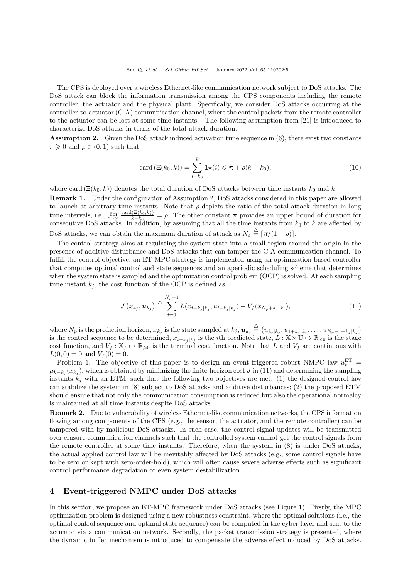The CPS is deployed over a wireless Ethernet-like communication network subject to DoS attacks. The DoS attack can block the information transmission among the CPS components including the remote controller, the actuator and the physical plant. Specifically, we consider DoS attacks occurring at the controller-to-actuator (C-A) communication channel, where the control packets from the remote controller to the actuator can be lost at some time instants. The following assumption from [\[21\]](#page-16-3) is introduced to characterize DoS attacks in terms of the total attack duration.

<span id="page-4-1"></span>Assumption 2. Given the DoS attack induced activation time sequence in [\(6\)](#page-3-4), there exist two constants  $\pi \geqslant 0$  and  $\rho \in (0,1)$  such that

<span id="page-4-3"></span>
$$
\operatorname{card}\left(\Xi(k_0,k)\right) = \sum_{i=k_0}^k \mathbf{1}_{\Xi}(i) \leq \pi + \rho(k - k_0),\tag{10}
$$

where card  $(\Xi(k_0, k))$  denotes the total duration of DoS attacks between time instants  $k_0$  and k. Remark 1. Under the configuration of Assumption [2,](#page-4-1) DoS attacks considered in this paper are allowed to launch at arbitrary time instants. Note that  $\rho$  depicts the ratio of the total attack duration in long time intervals, i.e.,  $\lim_{k \to \infty} \frac{\text{card}(\Xi(k_0,k))}{k-k_0}$  $\frac{(\Xi(k_0,k))}{k-k_0} = \rho$ . The other constant  $\pi$  provides an upper bound of duration for consecutive DoS attacks. In addition, by assuming that all the time instants from  $k_0$  to k are affected by

DoS attacks, we can obtain the maximum duration of attack as  $N_a \triangleq \frac{\Delta}{\pi} \left[ \frac{\pi}{(1 - \rho)} \right]$ .

The control strategy aims at regulating the system state into a small region around the origin in the presence of additive disturbance and DoS attacks that can tamper the C-A communication channel. To fulfill the control objective, an ET-MPC strategy is implemented using an optimization-based controller that computes optimal control and state sequences and an aperiodic scheduling scheme that determines when the system state is sampled and the optimization control problem (OCP) is solved. At each sampling time instant  $k_i$ , the cost function of the OCP is defined as

<span id="page-4-2"></span>
$$
J(x_{k_j}, u_{k_j}) \stackrel{\triangle}{=} \sum_{i=0}^{N_p-1} L(x_{i+k_j|k_j}, u_{i+k_j|k_j}) + V_f(x_{N_p+k_j|k_j}), \qquad (11)
$$

where  $N_p$  is the prediction horizon,  $x_{k_j}$  is the state sampled at  $k_j$ ,  $u_{k_j} \stackrel{\triangle}{=} \{u_{k_j|k_j}, u_{1+k_j|k_j}, \ldots, u_{N_p-1+k_j|k_j}\}$ is the control sequence to be determined,  $x_{i+k_j|k_j}$  is the *i*th predicted state,  $L : \mathbb{X} \times \mathbb{U} \mapsto \mathbb{R}_{\geqslant 0}$  is the stage cost function, and  $V_f : \mathbb{X}_f \mapsto \mathbb{R}_{\geq 0}$  is the terminal cost function. Note that L and  $V_f$  are continuous with  $L(0, 0) = 0$  and  $V_f(0) = 0$ .

Problem 1. The objective of this paper is to design an event-triggered robust NMPC law  $u_k^{\text{ET}} =$  $\mu_{k-k_j}(x_{k_j})$ , which is obtained by minimizing the finite-horizon cost J in [\(11\)](#page-4-2) and determining the sampling instants  $k_j$  with an ETM, such that the following two objectives are met: (1) the designed control law can stabilize the system in [\(8\)](#page-3-3) subject to DoS attacks and additive disturbances; (2) the proposed ETM should ensure that not only the communication consumption is reduced but also the operational normalcy is maintained at all time instants despite DoS attacks.

Remark 2. Due to vulnerability of wireless Ethernet-like communication networks, the CPS information flowing among components of the CPS (e.g., the sensor, the actuator, and the remote controller) can be tampered with by malicious DoS attacks. In such case, the control signal updates will be transmitted over erasure communication channels such that the controlled system cannot get the control signals from the remote controller at some time instants. Therefore, when the system in (8) is under DoS attacks, the actual applied control law will be inevitably affected by DoS attacks (e.g., some control signals have to be zero or kept with zero-order-hold), which will often cause severe adverse effects such as significant control performance degradation or even system destabilization.

# <span id="page-4-0"></span>4 Event-triggered NMPC under DoS attacks

In this section, we propose an ET-MPC framework under DoS attacks (see Figure [1\)](#page-5-0). Firstly, the MPC optimization problem is designed using a new robustness constraint, where the optimal solutions (i.e., the optimal control sequence and optimal state sequence) can be computed in the cyber layer and sent to the actuator via a communication network. Secondly, the packet transmission strategy is presented, where the dynamic buffer mechanism is introduced to compensate the adverse effect induced by DoS attacks.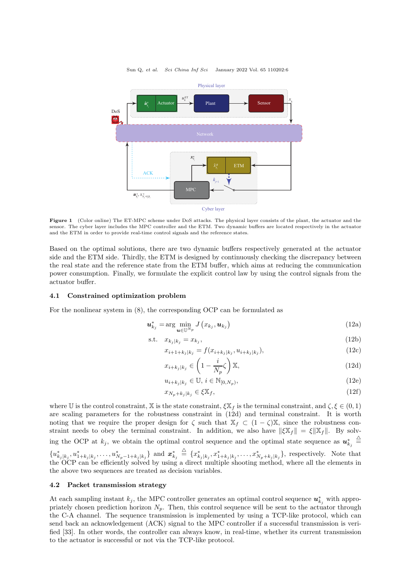<span id="page-5-0"></span>

Figure 1 (Color online) The ET-MPC scheme under DoS attacks. The physical layer consists of the plant, the actuator and the sensor. The cyber layer includes the MPC controller and the ETM. Two dynamic buffers are located respectively in the actuator and the ETM in order to provide real-time control signals and the reference states.

Based on the optimal solutions, there are two dynamic buffers respectively generated at the actuator side and the ETM side. Thirdly, the ETM is designed by continuously checking the discrepancy between the real state and the reference state from the ETM buffer, which aims at reducing the communication power consumption. Finally, we formulate the explicit control law by using the control signals from the actuator buffer.

#### 4.1 Constrained optimization problem

For the nonlinear system in [\(8\)](#page-3-3), the corresponding OCP can be formulated as

$$
\boldsymbol{u}_{k_j}^* = \arg\min_{\boldsymbol{u}\in\mathbb{U}^{N_p}} J\left(x_{k_j}, \boldsymbol{u}_{k_j}\right) \tag{12a}
$$

$$
\text{s.t.} \quad x_{k_j|k_j} = x_{k_j},\tag{12b}
$$

$$
x_{i+1+k_j|k_j} = f(x_{i+k_j|k_j}, u_{i+k_j|k_j}),
$$
\n(12c)

<span id="page-5-2"></span><span id="page-5-1"></span>
$$
x_{i+k_j|k_j} \in \left(1 - \frac{i}{N_p} \zeta\right) \mathbb{X},\tag{12d}
$$

$$
u_{i+k_j|k_j} \in \mathbb{U}, i \in \mathbb{N}_{[0,N_p)},
$$
\n
$$
(12e)
$$

$$
x_{N_p+k_j|k_j} \in \xi \mathbb{X}_f,\tag{12f}
$$

where U is the control constraint, X is the state constraint,  $\xi X_f$  is the terminal constraint, and  $\zeta, \xi \in (0, 1)$ are scaling parameters for the robustness constraint in [\(12d\)](#page-5-1) and terminal constraint. It is worth noting that we require the proper design for  $\zeta$  such that  $\mathbb{X}_f \subset (1 - \zeta)\mathbb{X}$ , since the robustness constraint needs to obey the terminal constraint. In addition, we also have  $\|\xi\mathbb{X}_f\| = \xi \|\mathbb{X}_f\|$ . By solving the OCP at  $k_j$ , we obtain the optimal control sequence and the optimal state sequence as  $u_{k_j}^*$  $\triangleq$ 

 ${u^*_{k_j|k_j}, u^*_{1+k_j|k_j}, \ldots, u^*_{N_p-1+k_j|k_j}}$  and  $\mathbf{x}^*_{k_j}$  $\triangleq \{x_{k_j|k_j}^*, x_{1+k_j|k_j}^*, \ldots, x_{N_p+k_j|k_j}^*\},$  respectively. Note that the OCP can be efficiently solved by using a direct multiple shooting method, where all the elements in the above two sequences are treated as decision variables.

### 4.2 Packet transmission strategy

At each sampling instant  $k_j$ , the MPC controller generates an optimal control sequence  $u_{k_j}^*$  with appropriately chosen prediction horizon  $N_p$ . Then, this control sequence will be sent to the actuator through the C-A channel. The sequence transmission is implemented by using a TCP-like protocol, which can send back an acknowledgement (ACK) signal to the MPC controller if a successful transmission is verified [\[33\]](#page-16-14). In other words, the controller can always know, in real-time, whether its current transmission to the actuator is successful or not via the TCP-like protocol.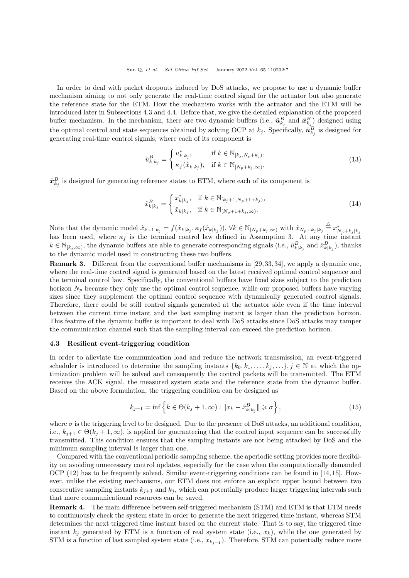In order to deal with packet dropouts induced by DoS attacks, we propose to use a dynamic buffer mechanism aiming to not only generate the real-time control signal for the actuator but also generate the reference state for the ETM. How the mechanism works with the actuator and the ETM will be introduced later in Subsections [4.](#page-4-0)3 and [4.](#page-4-0)4. Before that, we give the detailed explanation of the proposed buffer mechanism. In the mechanism, there are two dynamic buffers (i.e.,  $\hat{\bm{u}}_{k_j}^B$  and  $\hat{\bm{x}}_{k_j}^B$ ) designed using the optimal control and state sequences obtained by solving OCP at  $k_j$ . Specifically,  $\hat{\bm{u}}_{k_j}^B$  is designed for generating real-time control signals, where each of its component is

<span id="page-6-1"></span>
$$
\hat{u}_{k|k_j}^B = \begin{cases} u_{k|k_j}^*, & \text{if } k \in \mathbb{N}_{[k_j, N_p + k_j)}, \\ \kappa_f(\hat{x}_{k|k_j}), & \text{if } k \in \mathbb{N}_{[N_p + k_j, \infty)}.\end{cases}
$$
\n(13)

 $\hat{\bm{x}}_{k_j}^B$  is designed for generating reference states to ETM, where each of its component is

<span id="page-6-2"></span>
$$
\hat{x}_{k|k_j}^B = \begin{cases} x_{k|k_j}^*, & \text{if } k \in \mathbb{N}_{[k_j+1, N_p+1+k_j)},\\ \hat{x}_{k|k_j}, & \text{if } k \in \mathbb{N}_{[N_p+1+k_j,\infty)}. \end{cases} (14)
$$

Note that the dynamic model  $\hat{x}_{k+1|k_j} = f(\hat{x}_{k|k_j}, \kappa_j(\hat{x}_{k|k_j})), \forall k \in \mathbb{N}_{[N_p+k_j,\infty)}$  with  $\hat{x}_{N_p+k_j|k_j} \stackrel{\triangle}{=} x^*_{N_p+k_j|k_j}$  has been used, where  $\kappa_f$  is the terminal control law defined in Assumption [3.](#page-9-0) At any time in  $k \in \mathbb{N}_{[k_j,\infty)}$ , the dynamic buffers are able to generate corresponding signals (i.e.,  $\hat{u}_{k|k_j}^B$  and  $\hat{x}_{k|k_j}^B$ ), thanks to the dynamic model used in constructing these two buffers.

Remark 3. Different from the conventional buffer mechanisms in [\[29,](#page-16-10) [33,](#page-16-14) [34\]](#page-16-15), we apply a dynamic one, where the real-time control signal is generated based on the latest received optimal control sequence and the terminal control law. Specifically, the conventional buffers have fixed sizes subject to the prediction horizon  $N_p$  because they only use the optimal control sequence, while our proposed buffers have varying sizes since they supplement the optimal control sequence with dynamically generated control signals. Therefore, there could be still control signals generated at the actuator side even if the time interval between the current time instant and the last sampling instant is larger than the prediction horizon. This feature of the dynamic buffer is important to deal with DoS attacks since DoS attacks may tamper the communication channel such that the sampling interval can exceed the prediction horizon.

### 4.3 Resilient event-triggering condition

In order to alleviate the communication load and reduce the network transmission, an event-triggered scheduler is introduced to determine the sampling instants  $\{k_0, k_1, \ldots, k_j, \ldots\}, j \in \mathbb{N}$  at which the optimization problem will be solved and consequently the control packets will be transmitted. The ETM receives the ACK signal, the measured system state and the reference state from the dynamic buffer. Based on the above formulation, the triggering condition can be designed as

<span id="page-6-0"></span>
$$
k_{j+1} = \inf \left\{ k \in \Theta(k_j + 1, \infty) : \|x_k - \hat{x}_{k|k_j}^B\| \geq \sigma \right\},\tag{15}
$$

where  $\sigma$  is the triggering level to be designed. Due to the presence of DoS attacks, an additional condition, i.e.,  $k_{i+1} \in \Theta(k_i+1, \infty)$ , is applied for guaranteeing that the control input sequence can be successfully transmitted. This condition ensures that the sampling instants are not being attacked by DoS and the minimum sampling interval is larger than one.

Compared with the conventional periodic sampling scheme, the aperiodic setting provides more flexibility on avoiding unnecessary control updates, especially for the case when the computationally demanded OCP [\(12\)](#page-5-2) has to be frequently solved. Similar event-triggering conditions can be found in [\[14,](#page-15-11) [15\]](#page-15-12). However, unlike the existing mechanisms, our ETM does not enforce an explicit upper bound between two consecutive sampling instants  $k_{j+1}$  and  $k_j$ , which can potentially produce larger triggering intervals such that more communicational resources can be saved.

Remark 4. The main difference between self-triggered mechanism (STM) and ETM is that ETM needs to continuously check the system state in order to generate the next triggered time instant, whereas STM determines the next triggered time instant based on the current state. That is to say, the triggered time instant  $k_j$  generated by ETM is a function of real system state (i.e.,  $x_k$ ), while the one generated by STM is a function of last sampled system state (i.e.,  $x_{k_{j-1}}$ ). Therefore, STM can potentially reduce more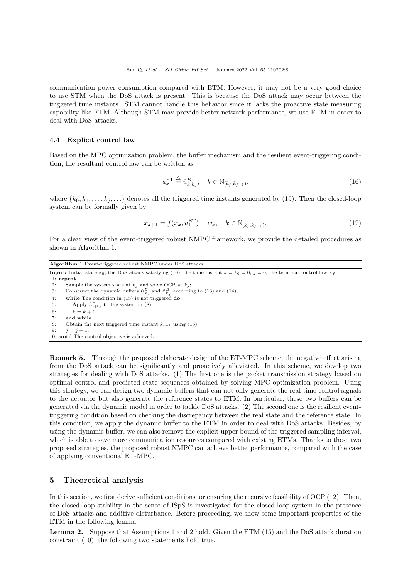communication power consumption compared with ETM. However, it may not be a very good choice to use STM when the DoS attack is present. This is because the DoS attack may occur between the triggered time instants. STM cannot handle this behavior since it lacks the proactive state measuring capability like ETM. Although STM may provide better network performance, we use ETM in order to deal with DoS attacks.

### 4.4 Explicit control law

Based on the MPC optimization problem, the buffer mechanism and the resilient event-triggering condition, the resultant control law can be written as

$$
u_k^{\text{ET}} \stackrel{\triangle}{=} \hat{u}_{k|k_j}^B, \quad k \in \mathbb{N}_{[k_j, k_{j+1})},\tag{16}
$$

where  $\{k_0, k_1, \ldots, k_j, \ldots\}$  denotes all the triggered time instants generated by [\(15\)](#page-6-0). Then the closed-loop system can be formally given by

<span id="page-7-3"></span>
$$
x_{k+1} = f(x_k, u_k^{\text{ET}}) + w_k, \quad k \in \mathbb{N}_{[k_j, k_{j+1})}.
$$
\n(17)

For a clear view of the event-triggered robust NMPC framework, we provide the detailed procedures as shown in Algorithm [1.](#page-7-1)

<span id="page-7-1"></span>Algorithm 1 Event-triggered robust NMPC under DoS attacks **Input:** Initial state  $x_0$ ; the DoS attack satisfying [\(10\)](#page-4-3); the time instant  $k = k_0 = 0$ ; j = 0; the terminal control law  $\kappa_f$ . 1: repeat 2: Sample the system state at  $k_j$  and solve OCP at  $k_j$ ; 3: Construct the dynamic buffers  $\hat{\mathbf{u}}_{k_j}^B$  and  $\hat{\mathbf{x}}_{k_j}^B$  according to [\(13\)](#page-6-1) and [\(14\)](#page-6-2); 4: while The condition in [\(15\)](#page-6-0) is not triggered do<br>5: Apply  $\hat{u}_{k|k}^B$ , to the system in (8); 5: Apply  $\hat{u}_{k|k_j}^B$  to the system in [\(8\)](#page-3-3); 6:  $k = k + 1;$ 7: end while 8: Obtain the next triggered time instant  $k_{j+1}$  using [\(15\)](#page-6-0); 9:  $i = i + 1$ ; 10: until The control objective is achieved.

Remark 5. Through the proposed elaborate design of the ET-MPC scheme, the negative effect arising from the DoS attack can be significantly and proactively alleviated. In this scheme, we develop two strategies for dealing with DoS attacks. (1) The first one is the packet transmission strategy based on optimal control and predicted state sequences obtained by solving MPC optimization problem. Using this strategy, we can design two dynamic buffers that can not only generate the real-time control signals to the actuator but also generate the reference states to ETM. In particular, these two buffers can be generated via the dynamic model in order to tackle DoS attacks. (2) The second one is the resilient eventtriggering condition based on checking the discrepancy between the real state and the reference state. In this condition, we apply the dynamic buffer to the ETM in order to deal with DoS attacks. Besides, by using the dynamic buffer, we can also remove the explicit upper bound of the triggered sampling interval, which is able to save more communication resources compared with existing ETMs. Thanks to these two proposed strategies, the proposed robust NMPC can achieve better performance, compared with the case of applying conventional ET-MPC.

### <span id="page-7-0"></span>5 Theoretical analysis

In this section, we first derive sufficient conditions for ensuring the recursive feasibility of OCP [\(12\)](#page-5-2). Then, the closed-loop stability in the sense of ISpS is investigated for the closed-loop system in the presence of DoS attacks and additive disturbance. Before proceeding, we show some important properties of the ETM in the following lemma.

<span id="page-7-2"></span>Lemma 2. Suppose that Assumptions [1](#page-3-5) and [2](#page-4-1) hold. Given the ETM [\(15\)](#page-6-0) and the DoS attack duration constraint [\(10\)](#page-4-3), the following two statements hold true.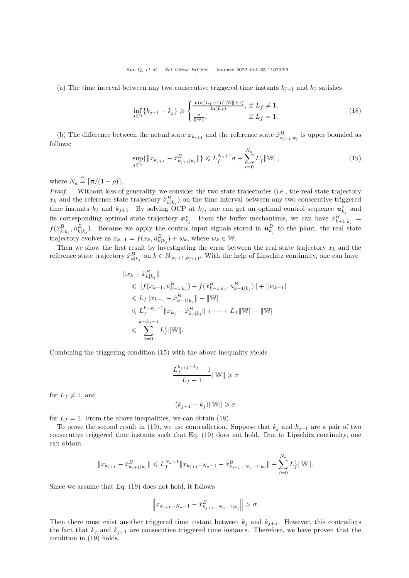(a) The time interval between any two consecutive triggered time instants  $k_{j+1}$  and  $k_j$  satisfies

<span id="page-8-0"></span>
$$
\inf_{j \in \mathbb{N}} \{k_{j+1} - k_j\} \geqslant \begin{cases} \frac{\ln(\sigma(L_f - 1)/\|\mathbb{W}\| + 1)}{\ln(L_f)}, \text{ if } L_f \neq 1, \\ \frac{\sigma}{\|\mathbb{W}\|}, \text{ if } L_f = 1. \end{cases} \tag{18}
$$

(b) The difference between the actual state  $x_{k_{j+1}}$  and the reference state  $\hat{x}_{k_{j+1}|k_j}^B$  is upper bounded as follows:

<span id="page-8-1"></span>
$$
\sup_{j \in \mathbb{N}} \{ \|x_{k_{j+1}} - \hat{x}_{k_{j+1}|k_j}^B\| \} \leqslant L_f^{N_a + 1} \sigma + \sum_{i=0}^{N_a} L_f^i \|\mathbb{W}\|, \tag{19}
$$

where  $N_a \stackrel{\triangle}{=} \lceil \pi/(1-\rho) \rceil$ .

Proof. Without loss of generality, we consider the two state trajectories (i.e., the real state trajectory  $x_k$  and the reference state trajectory  $\hat{x}_{k|k_j}^B$  on the time interval between any two consecutive triggered time instants  $k_j$  and  $k_{j+1}$ . By solving OCP at  $k_j$ , one can get an optimal control sequence  $u_{k_j}^*$  and its corresponding optimal state trajectory  $x_{k_j}^*$ . From the buffer mechanisms, we can have  $\hat{x}_{k+1|k_j}^B$  $f(\hat{x}_{k|k_j}^B, \hat{u}_{k|k_j}^B)$ . Because we apply the control input signals stored in  $\hat{u}_{k_j}^B$  to the plant, the real state trajectory evolves as  $x_{k+1} = f(x_k, \hat{u}_{k|k_j}^B) + w_k$ , where  $w_k \in \mathbb{W}$ .

Then we show the first result by investigating the error between the real state trajectory  $x_k$  and the reference state trajectory  $\hat{x}_{k|k_j}^B$  on  $k \in \mathbb{N}_{[k_j+1,k_{j+1})}$ . With the help of Lipschitz continuity, one can have

$$
||x_{k} - \hat{x}_{k|k_{j}}^{B}||
$$
  
\n
$$
\leq ||f(x_{k-1}, \hat{u}_{k-1|k_{j}}^{B}) - f(\hat{x}_{k-1|k_{j}}^{B}, \hat{u}_{k-1|k_{j}}^{B})|| + ||w_{k-1}||
$$
  
\n
$$
\leq L_{f} ||x_{k-1} - \hat{x}_{k-1|k_{j}}^{B}|| + ||\mathbb{W}||
$$
  
\n
$$
\leq L_{f}^{k-k_{j}-1} ||x_{k_{j}} - \hat{x}_{k_{j}|k_{j}}^{B}|| + \cdots + L_{f}||\mathbb{W}|| + ||\mathbb{W}||
$$
  
\n
$$
\leq \sum_{i=0}^{k-k_{j}-1} L_{f}^{i} ||\mathbb{W}||.
$$

Combining the triggering condition [\(15\)](#page-6-0) with the above inequality yields

$$
\frac{L_f^{k_{j+1}-k_j}-1}{L_f-1} \|\mathbb{W}\| \geqslant \sigma
$$

for  $L_f \neq 1$ , and

$$
(k_{j+1}-k_j)\|\mathbb{W}\|\geqslant \sigma
$$

for  $L_f = 1$ . From the above inequalities, we can obtain [\(18\)](#page-8-0).

To prove the second result in [\(19\)](#page-8-1), we use contradiction. Suppose that  $k_j$  and  $k_{j+1}$  are a pair of two consecutive triggered time instants such that Eq. [\(19\)](#page-8-1) does not hold. Due to Lipschitz continuity, one can obtain

$$
\|x_{k_{j+1}}-\hat{x}_{k_{j+1}|k_j}^B\|\leqslant L_f^{N_a+1}\|x_{k_{j+1}-N_a-1}-\hat{x}_{k_{j+1}-N_a-1|k_j}^B\|+\sum_{i=0}^{N_a}L_f^i\|\mathbb{W}\|.
$$

Since we assume that Eq. [\(19\)](#page-8-1) does not hold, it follows

$$
\left\| x_{k_{j+1}-N_a-1} - \hat{x}_{k_{j+1}-N_a-1|k_j}^B \right\| > \sigma.
$$

Then there must exist another triggered time instant between  $k_j$  and  $k_{j+1}$ . However, this contradicts the fact that  $k_j$  and  $k_{j+1}$  are consecutive triggered time instants. Therefore, we have proven that the condition in [\(19\)](#page-8-1) holds.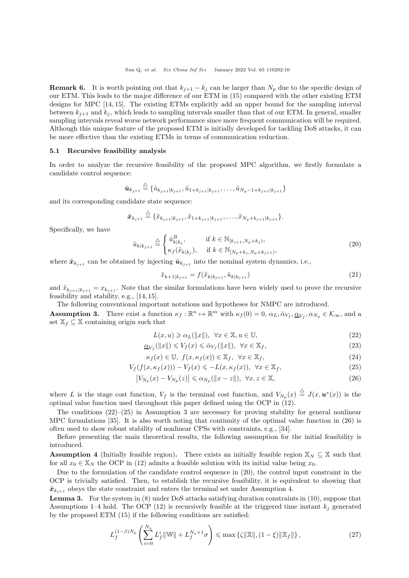**Remark 6.** It is worth pointing out that  $k_{j+1} - k_j$  can be larger than  $N_p$  due to the specific design of our ETM. This leads to the major difference of our ETM in [\(15\)](#page-6-0) compared with the other existing ETM designs for MPC [\[14,](#page-15-11) [15\]](#page-15-12). The existing ETMs explicitly add an upper bound for the sampling interval between  $k_{i+1}$  and  $k_i$ , which leads to sampling intervals smaller than that of our ETM. In general, smaller sampling intervals reveal worse network performance since more frequent communication will be required. Although this unique feature of the proposed ETM is initially developed for tackling DoS attacks, it can be more effective than the existing ETMs in terms of communication reduction.

### 5.1 Recursive feasibility analysis

In order to analyze the recursive feasibility of the proposed MPC algorithm, we firstly formulate a candidate control sequence:

$$
\tilde{\bm{u}}_{k_{j+1}} \stackrel{\triangleq}{=} \{\tilde{u}_{k_{j+1}|k_{j+1}}, \tilde{u}_{1+k_{j+1}|k_{j+1}}, \ldots, \tilde{u}_{N_p-1+k_{j+1}|k_{j+1}}\}
$$

and its corresponding candidate state sequence:

$$
\tilde{\pmb{x}}_{k_{j+1}} \stackrel{\triangle}{=} \{\tilde{x}_{k_{j+1}|k_{j+1}}, \tilde{x}_{1+k_{j+1}|k_{j+1}}, \ldots, \tilde{x}_{N_p+k_{j+1}|k_{j+1}}\}.
$$

Specifically, we have

<span id="page-9-4"></span>
$$
\tilde{u}_{k|k_{j+1}} \stackrel{\triangle}{=} \begin{cases} \hat{u}_{k|k_j}^B, & \text{if } k \in \mathbb{N}_{[k_{j+1}, N_p + k_j)},\\ \kappa_f(\tilde{x}_{k|k_j}), & \text{if } k \in \mathbb{N}_{[N_p + k_j, N_p + k_{j+1})}, \end{cases} \tag{20}
$$

where  $\tilde{\mathbf{x}}_{k_{i+1}}$  can be obtained by injecting  $\tilde{\mathbf{u}}_{k_{i+1}}$  into the nominal system dynamics, i.e.,

<span id="page-9-7"></span>
$$
\tilde{x}_{k+1|k_{j+1}} = f(\tilde{x}_{k|k_{j+1}}, \tilde{u}_{k|k_{j+1}}) \tag{21}
$$

and  $\tilde{x}_{k_{j+1}|k_{j+1}} = x_{k_{j+1}}$ . Note that the similar formulations have been widely used to prove the recursive feasibility and stability, e.g., [\[14,](#page-15-11) [15\]](#page-15-12).

<span id="page-9-0"></span>The following conventional important notations and hypotheses for NMPC are introduced. **Assumption 3.** There exist a function  $\kappa_f : \mathbb{R}^n \to \mathbb{R}^m$  with  $\kappa_f(0) = 0$ ,  $\alpha_L, \bar{\alpha}_{V_f}, \underline{\alpha}_{V_f}, \alpha_{N_p} \in \mathcal{K}_{\infty}$ , and a set  $\mathbb{X}_f \subseteq \mathbb{X}$  containing origin such that

<span id="page-9-8"></span><span id="page-9-3"></span><span id="page-9-2"></span><span id="page-9-1"></span>
$$
L(x, u) \geq \alpha_L(\|x\|), \ \forall x \in \mathbb{X}, u \in \mathbb{U},
$$
\n<sup>(22)</sup>

$$
\underline{\alpha}_{V_f}(\|x\|) \leqslant V_f(x) \leqslant \bar{\alpha}_{V_f}(\|x\|), \ \forall x \in \mathbb{X}_f,\tag{23}
$$

$$
\kappa_f(x) \in \mathbb{U}, \ f(x, \kappa_f(x)) \in \mathbb{X}_f, \ \forall x \in \mathbb{X}_f,
$$
\n
$$
(24)
$$

$$
V_f(f(x, \kappa_f(x))) - V_f(x) \leqslant -L(x, \kappa_f(x)), \quad \forall x \in \mathbb{X}_f,
$$
\n
$$
(25)
$$

$$
\left|V_{N_p}(x) - V_{N_p}(z)\right| \leq \alpha_{N_p}(\|x - z\|), \ \forall x, z \in \mathbb{X},\tag{26}
$$

where L is the stage cost function,  $V_f$  is the terminal cost function, and  $V_{N_p}(x) \triangleq J(x, \boldsymbol{u}^*(x))$  is the optimal value function used throughout this paper defined using the OCP in [\(12\)](#page-5-2).

The conditions  $(22)$ – $(25)$  in Assumption [3](#page-9-0) are necessary for proving stability for general nonlinear MPC formulations [\[35\]](#page-16-16). It is also worth noting that continuity of the optimal value function in [\(26\)](#page-9-3) is often used to show robust stability of nonlinear CPSs with constraints, e.g., [\[34\]](#page-16-15).

Before presenting the main theoretical results, the following assumption for the initial feasibility is introduced.

<span id="page-9-5"></span>**Assumption 4** (Initially feasible region). There exists an initially feasible region  $\mathbb{X}_N \subseteq \mathbb{X}$  such that for all  $x_0 \in X_N$  the OCP in [\(12\)](#page-5-2) admits a feasible solution with its initial value being  $x_0$ .

Due to the formulation of the candidate control sequence in [\(20\)](#page-9-4), the control input constraint in the OCP is trivially satisfied. Then, to establish the recursive feasibility, it is equivalent to showing that  $\tilde{\boldsymbol{x}}_{k_{i+1}}$  obeys the state constraint and enters the terminal set under Assumption [4.](#page-9-5)

<span id="page-9-9"></span>Lemma 3. For the system in [\(8\)](#page-3-3) under DoS attacks satisfying duration constraints in [\(10\)](#page-4-3), suppose that Assumptions [1–](#page-3-5)[4](#page-9-5) hold. The OCP [\(12\)](#page-5-2) is recursively feasible at the triggered time instant  $k_j$  generated by the proposed ETM [\(15\)](#page-6-0) if the following conditions are satisfied:

<span id="page-9-6"></span>
$$
L_f^{(1-\beta)N_p} \left( \sum_{i=0}^{N_a} L_f^i \|\mathbb{W}\| + L_f^{N_a+1} \sigma \right) \leq \max \left\{ \zeta \|\mathbb{X}\|, (1-\xi) \|\mathbb{X}_f\| \right\},\tag{27}
$$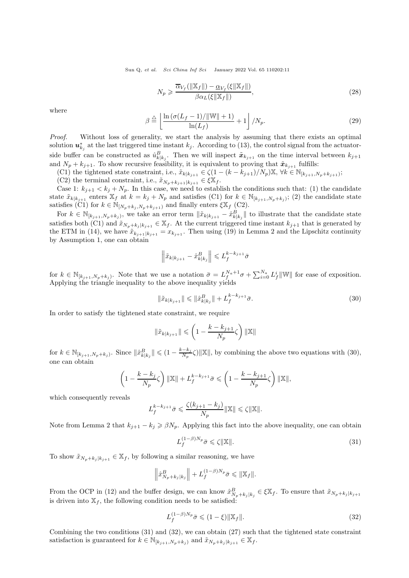<span id="page-10-3"></span>
$$
N_p \geqslant \frac{\overline{\alpha}_{V_f}(\|\mathbb{X}_f\|) - \underline{\alpha}_{V_f}(\xi\|\mathbb{X}_f\|)}{\beta \alpha_L(\xi\|\mathbb{X}_f\|)},\tag{28}
$$

where

$$
\beta \stackrel{\triangle}{=} \left\lfloor \frac{\ln\left(\sigma(L_f - 1)/\|\mathbb{W}\| + 1\right)}{\ln(L_f)} + 1 \right\rfloor / N_p. \tag{29}
$$

Proof. Without loss of generality, we start the analysis by assuming that there exists an optimal solution  $u_{k_j}^*$  at the last triggered time instant  $k_j$ . According to [\(13\)](#page-6-1), the control signal from the actuatorside buffer can be constructed as  $\hat{u}_{k|k_j}^B$ . Then we will inspect  $\tilde{x}_{k_{j+1}}$  on the time interval between  $k_{j+1}$ and  $N_p + k_{j+1}$ . To show recursive feasibility, it is equivalent to proving that  $\tilde{\boldsymbol{x}}_{k_{j+1}}$  fulfills:

(C1) the tightened state constraint, i.e.,  $\tilde{x}_{k|k_{j+1}} \in \zeta(1-(k-k_{j+1})/N_p) \mathbb{X}, \forall k \in \mathbb{N}_{[k_{j+1},N_p+k_{j+1})};$ (C2) the terminal constraint, i.e.,  $\tilde{x}_{N_p+k_{j+1}|k_{j+1}} \in \xi \mathbb{X}_f$ .

Case 1:  $k_{j+1} < k_j + N_p$ . In this case, we need to establish the conditions such that: (1) the candidate state  $\tilde{x}_{k|k_{j+1}}$  enters  $\mathbb{X}_f$  at  $k = k_j + N_p$  and satisfies (C1) for  $k \in \mathbb{N}_{[k_{j+1},N_p+k_j)}$ ; (2) the candidate state satisfies (C1) for  $k \in \mathbb{N}_{[N_p+k_j, N_p+k_{j+1})}$  and finally enters  $\xi \mathbb{X}_f$  (C2).

For  $k \in \mathbb{N}_{[k_{j+1},N_p+k_j)}$ , we take an error term  $\|\tilde{x}_{k|k_{j+1}} - \hat{x}_{k|k_j}^B\|$  to illustrate that the candidate state satisfies both (C1) and  $\tilde{x}_{N_p+k_j|k_{j+1}} \in \mathbb{X}_f$ . At the current triggered time instant  $k_{j+1}$  that is generated by the ETM in [\(14\)](#page-6-2), we have  $\tilde{x}_{k_{j+1}|k_{j+1}} = x_{k_{j+1}}$ . Then using [\(19\)](#page-8-1) in Lemma [2](#page-7-2) and the Lipschitz continuity by Assumption [1,](#page-3-5) one can obtain

$$
\left\|\tilde{x}_{k|k_{j+1}} - \hat{x}_{k|k_j}^B\right\| \leq L_f^{k-k_{j+1}}\bar{\sigma}
$$

for  $k \in \mathbb{N}_{[k_{j+1},N_p+k_j)}$ . Note that we use a notation  $\bar{\sigma} = L_f^{N_a+1}\sigma + \sum_{i=0}^{N_a} L_f^{i} ||\mathbb{W}||$  for ease of exposition. Applying the triangle inequality to the above inequality yields

<span id="page-10-0"></span>
$$
\|\tilde{x}_{k|k_{j+1}}\| \le \|\hat{x}_{k|k_j}^B\| + L_f^{k-k_{j+1}}\bar{\sigma}.\tag{30}
$$

In order to satisfy the tightened state constraint, we require

$$
\|\tilde{x}_{k|k_{j+1}}\| \leqslant \left(1 - \frac{k - k_{j+1}}{N_p}\zeta\right) \|\mathbb{X}\|
$$

for  $k \in \mathbb{N}_{[k_{j+1}, N_p + k_j)}$ . Since  $\|\hat{x}_{k|k_j}^B\| \leq (1 - \frac{k - k_j}{N_p})$  $\frac{-k_j}{N_p}\zeta$  ||X||, by combining the above two equations with [\(30\)](#page-10-0), one can obtain

$$
\left(1 - \frac{k - k_j}{N_p} \zeta\right) \|\mathbb{X}\| + L_f^{k - k_{j+1}} \bar{\sigma} \leqslant \left(1 - \frac{k - k_{j+1}}{N_p} \zeta\right) \|\mathbb{X}\|,
$$

which consequently reveals

$$
L_f^{k-k_{j+1}} \bar{\sigma} \leqslant \frac{\zeta(k_{j+1}-k_j)}{N_p} \|\mathbb{X}\| \leqslant \zeta \|\mathbb{X}\|.
$$

Note from Lemma [2](#page-7-2) that  $k_{i+1} - k_i \geq \beta N_p$ . Applying this fact into the above inequality, one can obtain

<span id="page-10-1"></span>
$$
L_f^{(1-\beta)N_p}\bar{\sigma} \leqslant \zeta \|\mathbb{X}\|.\tag{31}
$$

To show  $\tilde{x}_{N_n+k_i | k_{i+1}} \in \mathbb{X}_f$ , by following a similar reasoning, we have

$$
\left\|\hat{x}_{N_p+k_j|k_j}^B\right\|+L_f^{(1-\beta)N_p}\bar{\sigma}\leqslant \|\mathbb{X}_f\|.
$$

From the OCP in [\(12\)](#page-5-2) and the buffer design, we can know  $\hat{x}_{N_p+k_j|k_j}^B \in \xi \mathbb{X}_f$ . To ensure that  $\tilde{x}_{N_p+k_j|k_{j+1}}$ is driven into  $\mathbb{X}_f$ , the following condition needs to be satisfied:

<span id="page-10-2"></span>
$$
L_f^{(1-\beta)N_p}\bar{\sigma} \leqslant (1-\xi) \|\mathbb{X}_f\|.\tag{32}
$$

Combining the two conditions [\(31\)](#page-10-1) and [\(32\)](#page-10-2), we can obtain [\(27\)](#page-9-6) such that the tightened state constraint satisfaction is guaranteed for  $k \in \mathbb{N}_{[k_{j+1},N_p+k_j]}$  and  $\tilde{x}_{N_p+k_j|k_{j+1}} \in \mathbb{X}_f$ .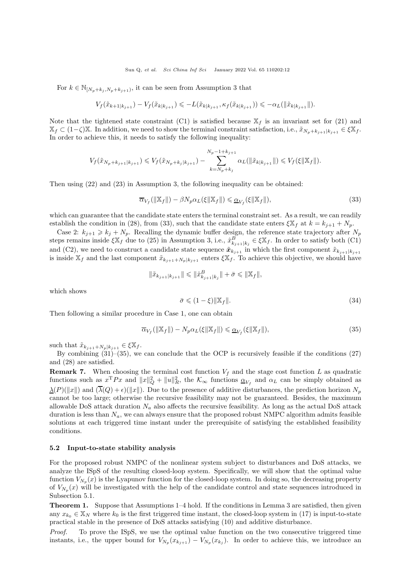For  $k \in \mathbb{N}_{[N_p+k_j,N_p+k_{j+1})}$ , it can be seen from Assumption [3](#page-9-0) that

$$
V_f(\tilde{x}_{k+1|k_{j+1}}) - V_f(\tilde{x}_{k|k_{j+1}}) \leqslant -L(\tilde{x}_{k|k_{j+1}}, \kappa_f(\tilde{x}_{k|k_{j+1}})) \leqslant -\alpha_L(\|\tilde{x}_{k|k_{j+1}}\|).
$$

Note that the tightened state constraint (C1) is satisfied because  $\mathbb{X}_f$  is an invariant set for [\(21\)](#page-9-7) and  $\mathbb{X}_f \subset (1-\zeta)\mathbb{X}$ . In addition, we need to show the terminal constraint satisfaction, i.e.,  $\tilde{x}_{N_p+k_{j+1}|k_{j+1}} \in \xi \mathbb{X}_f$ . In order to achieve this, it needs to satisfy the following inequality:

$$
V_f(\tilde{x}_{N_p+k_{j+1}|k_{j+1}}) \leq V_f(\tilde{x}_{N_p+k_j|k_{j+1}}) - \sum_{k=N_p+k_j}^{N_p-1+k_{j+1}} \alpha_L(\|\tilde{x}_{k|k_{j+1}}\|) \leq V_f(\xi \|\mathbb{X}_f\|).
$$

Then using [\(22\)](#page-9-1) and [\(23\)](#page-9-8) in Assumption [3,](#page-9-0) the following inequality can be obtained:

<span id="page-11-0"></span>
$$
\overline{\alpha}_{V_f}(\|\mathbb{X}_f\|) - \beta N_p \alpha_L(\xi \|\mathbb{X}_f\|) \leq \underline{\alpha}_{V_f}(\xi \|\mathbb{X}_f\|),\tag{33}
$$

which can guarantee that the candidate state enters the terminal constraint set. As a result, we can readily establish the condition in [\(28\)](#page-10-3), from [\(33\)](#page-11-0), such that the candidate state enters  $\xi \mathbb{X}_f$  at  $k = k_{j+1} + N_p$ .

Case 2:  $k_{j+1} \geq k_j + N_p$ . Recalling the dynamic buffer design, the reference state trajectory after  $N_p$ steps remains inside  $\xi \mathbb{X}_f$  due to [\(25\)](#page-9-2) in Assumption [3,](#page-9-0) i.e.,  $\hat{x}^B_{k_{j+1}|k_j} \in \xi \mathbb{X}_f$ . In order to satisfy both (C1) and (C2), we need to construct a candidate state sequence  $\tilde{\mathbf{x}}_{k_{j+1}}$  in which the first component  $\tilde{x}_{k_{j+1}|k_{j+1}}$ is inside  $\mathbb{X}_f$  and the last component  $\tilde{x}_{k_{j+1}+N_p|k_{j+1}}$  enters  $\xi \mathbb{X}_f$ . To achieve this objective, we should have

$$
\|\tilde{x}_{k_{j+1}|k_{j+1}}\| \leq \|\hat{x}_{k_{j+1}|k_j}^B\| + \bar{\sigma} \leq \|\mathbb{X}_f\|,
$$

which shows

$$
\bar{\sigma} \leqslant (1 - \xi) \|\mathbb{X}_f\|.\tag{34}
$$

Then following a similar procedure in Case 1, one can obtain

<span id="page-11-1"></span>
$$
\overline{\alpha}_{V_f}(\|\mathbb{X}_f\|) - N_p \alpha_L(\xi \|\mathbb{X}_f\|) \leq \underline{\alpha}_{V_f}(\xi \|\mathbb{X}_f\|),\tag{35}
$$

such that  $\tilde{x}_{k_{j+1}+N_p|k_{j+1}} \in \xi \mathbb{X}_f$ .

By combining  $(31)$ – $(35)$ , we can conclude that the OCP is recursively feasible if the conditions  $(27)$ and [\(28\)](#page-10-3) are satisfied.

**Remark 7.** When choosing the terminal cost function  $V_f$  and the stage cost function L as quadratic functions such as  $x^T P x$  and  $||x||_Q^2 + ||u||_R^2$ , the  $\mathcal{K}_{\infty}$  functions  $\underline{\alpha}_{V_f}$  and  $\alpha_L$  can be simply obtained as  $\Delta(P)(\|x\|)$  and  $(\overline{\lambda}(Q) + \epsilon)(\|x\|)$ . Due to the presence of additive disturbances, the prediction horizon  $N_p$ cannot be too large; otherwise the recursive feasibility may not be guaranteed. Besides, the maximum allowable DoS attack duration  $N_a$  also affects the recursive feasibility. As long as the actual DoS attack duration is less than  $N_a$ , we can always ensure that the proposed robust NMPC algorithm admits feasible solutions at each triggered time instant under the prerequisite of satisfying the established feasibility conditions.

#### 5.2 Input-to-state stability analysis

For the proposed robust NMPC of the nonlinear system subject to disturbances and DoS attacks, we analyze the ISpS of the resulting closed-loop system. Specifically, we will show that the optimal value function  $V_{N_p}(x)$  is the Lyapunov function for the closed-loop system. In doing so, the decreasing property of  $V_{N_p}(x)$  will be investigated with the help of the candidate control and state sequences introduced in Subsection [5.](#page-7-0)1.

Theorem 1. Suppose that Assumptions [1–](#page-3-5)[4](#page-9-5) hold. If the conditions in Lemma [3](#page-9-9) are satisfied, then given any  $x_{k_0} \in \mathbb{X}_N$  where  $k_0$  is the first triggered time instant, the closed-loop system in [\(17\)](#page-7-3) is input-to-state practical stable in the presence of DoS attacks satisfying [\(10\)](#page-4-3) and additive disturbance.

Proof. To prove the ISpS, we use the optimal value function on the two consecutive triggered time instants, i.e., the upper bound for  $V_{N_p}(x_{k_{j+1}}) - V_{N_p}(x_{k_j})$ . In order to achieve this, we introduce an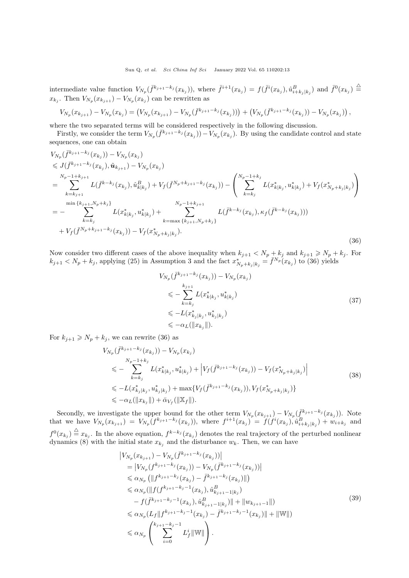intermediate value function  $V_{N_p}(\bar{f}^{k_{j+1}-k_j}(x_{k_j}))$ , where  $\bar{f}^{i+1}(x_{k_j}) = f(\bar{f}^i(x_{k_j}), \hat{u}_{i+k_j|k_j}^B)$  and  $\bar{f}^0(x_{k_j}) \triangleq$  $x_{k_j}$ . Then  $V_{N_p}(x_{k_{j+1}}) - V_{N_p}(x_{k_j})$  can be rewritten as

$$
V_{N_p}(x_{k_{j+1}}) - V_{N_p}(x_{k_j}) = (V_{N_p}(x_{k_{j+1}}) - V_{N_p}(\bar{f}^{k_{j+1}-k_j}(x_{k_j})) + (V_{N_p}(\bar{f}^{k_{j+1}-k_j}(x_{k_j})) - V_{N_p}(x_{k_j})),
$$

where the two separated terms will be considered respectively in the following discussion.

Firstly, we consider the term  $V_{N_p}(\bar{f}^{k_{j+1}-k_j}(x_{k_j})) - V_{N_p}(x_{k_j})$ . By using the candidate control and state sequences, one can obtain

<span id="page-12-0"></span>
$$
V_{N_p}(\bar{f}^{k_{j+1}-k_j}(x_{k_j})) - V_{N_p}(x_{k_j})
$$
  
\n
$$
\leq J(\bar{f}^{k_{j+1}-k_j}(x_{k_j}), \tilde{u}_{k_{j+1}}) - V_{N_p}(x_{k_j})
$$
  
\n
$$
= \sum_{k=k_{j+1}}^{N_p-1+k_{j+1}} L(\bar{f}^{k-k_j}(x_{k_j}), \hat{u}_{k|k_j}) + V_f(\bar{f}^{N_p+k_{j+1}-k_j}(x_{k_j})) - \left(\sum_{k=k_j}^{N_p-1+k_j} L(x_{k|k_j}^*, u_{k|k_j}^*) + V_f(x_{N_p+k_j|k_j}^*)\right)
$$
  
\n
$$
= - \sum_{k=k_j}^{\min\{k_{j+1}, N_p+k_j\}} L(x_{k|k_j}^*, u_{k|k_j}) + \sum_{k=\max\{k_{j+1}, N_p+k_j\}}^{N_p-1+k_{j+1}} L(\bar{f}^{k-k_j}(x_{k_j}), \kappa_f(\bar{f}^{k-k_j}(x_{k_j})))
$$
  
\n
$$
+ V_f(\bar{f}^{N_p+k_{j+1}-k_j}(x_{k_j})) - V_f(x_{N_p+k_j|k_j}^*)
$$
. (36)

Now consider two different cases of the above inequality when  $k_{j+1} < N_p + k_j$  and  $k_{j+1} \geq N_p + k_j$ . For  $k_{j+1} < N_p + k_j$ , applying [\(25\)](#page-9-2) in Assumption [3](#page-9-0) and the fact  $x_{N_p+k_j|k_j}^* = \overline{f}^{N_p}(x_{k_j})$  to [\(36\)](#page-12-0) yields

$$
V_{N_p}(\bar{f}^{k_{j+1}-k_j}(x_{k_j})) - V_{N_p}(x_{k_j})
$$
  
\n
$$
\leqslant -\sum_{k=k_j}^{k_{j+1}} L(x_{k|k_j}^*, u_{k|k_j}^*)
$$
  
\n
$$
\leqslant -L(x_{k_j|k_j}^*, u_{k_j|k_j}^*)
$$
  
\n
$$
\leqslant -\alpha_L(\|x_{k_j}\|).
$$
\n(37)

For  $k_{j+1} \geq N_p + k_j$ , we can rewrite [\(36\)](#page-12-0) as

$$
V_{N_p}(\bar{f}^{k_{j+1}-k_j}(x_{k_j})) - V_{N_p}(x_{k_j})
$$
  
\n
$$
\leq - \sum_{k=k_j}^{N_p-1+k_j} L(x_{k|k_j}^*, u_{k|k_j}^*) + \left| V_f(\bar{f}^{k_{j+1}-k_j}(x_{k_j})) - V_f(x_{N_p+k_j|k_j}^*) \right|
$$
  
\n
$$
\leq -L(x_{k_j|k_j}^*, u_{k_j|k_j}^*) + \max \{ V_f(\bar{f}^{k_{j+1}-k_j}(x_{k_j})), V_f(x_{N_p+k_j|k_j}^*) \}
$$
  
\n
$$
\leq -\alpha_L(\|x_{k_j}\|) + \bar{\alpha}_{V_f}(\|\mathbf{X}_f\|).
$$
\n(38)

<span id="page-12-1"></span>Secondly, we investigate the upper bound for the other term  $V_{N_p}(x_{k_{j+1}}) - V_{N_p}(\bar{f}^{k_{j+1}-k_j}(x_{k_j}))$ . Note that we have  $V_{N_p}(x_{k_{j+1}}) = V_{N_p}(f^{k_{j+1}-k_j}(x_{k_j}))$ , where  $f^{i+1}(x_{k_j}) = f(f^i(x_{k_j}), \hat{u}_{i+k_j|k_j}^B) + w_{i+k_j}$  and  $f^0(x_{k_j}) \stackrel{\triangle}{=} x_{k_j}$ . In the above equation,  $f^{k-k_j}(x_{k_j})$  denotes the real trajectory of the perturbed nonlinear dynamics [\(8\)](#page-3-3) with the initial state  $x_{k_j}$  and the disturbance  $w_k$ . Then, we can have

<span id="page-12-2"></span>
$$
\begin{split}\n&|V_{N_p}(x_{k_{j+1}}) - V_{N_p}(\bar{f}^{k_{j+1}-k_j}(x_{k_j}))| \\
&= |V_{N_p}(f^{k_{j+1}-k_j}(x_{k_j})) - V_{N_p}(\bar{f}^{k_{j+1}-k_j}(x_{k_j}))| \\
&\leq \alpha_{N_p} \left( ||f^{k_{j+1}-k_j}(x_{k_j}) - \bar{f}^{k_{j+1}-k_j}(x_{k_j})|| \right) \\
&\leq \alpha_{N_p} (||f(f^{k_{j+1}-k_j-1}(x_{k_j}), \hat{u}^{B}_{k_{j+1}-1|k_j}) \\
&- f(\bar{f}^{k_{j+1}-k_j-1}(x_{k_j}), \hat{u}^{B}_{k_{j+1}-1|k_j})|| + ||w_{k_{j+1}-1}||) \\
&\leq \alpha_{N_p} (L_f ||f^{k_{j+1}-k_j-1}(x_{k_j}) - \bar{f}^{k_{j+1}-k_j-1}(x_{k_j})|| + ||\mathbb{W}||) \\
&\leq \alpha_{N_p} \left( \sum_{i=0}^{k_{j+1}-k_j-1} L_f^i ||\mathbb{W}|| \right).\n\end{split} \tag{39}
$$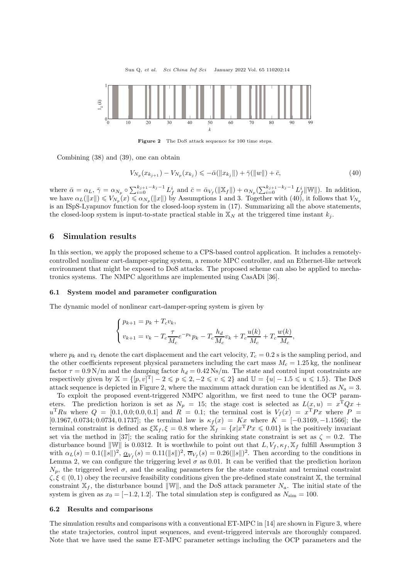Sun Q, et al. Sci China Inf Sci January 2022 Vol. 65 110202:14

<span id="page-13-2"></span>

Figure 2 The DoS attack sequence for 100 time steps.

Combining [\(38\)](#page-12-1) and [\(39\)](#page-12-2), one can obtain

<span id="page-13-1"></span>
$$
V_{N_p}(x_{k_{j+1}}) - V_{N_p}(x_{k_j}) \leqslant -\bar{\alpha}(\|x_{k_j}\|) + \bar{\gamma}(\|w\|) + \bar{c},\tag{40}
$$

where  $\bar{\alpha} = \alpha_L$ ,  $\bar{\gamma} = \alpha_{N_p} \circ \sum_{i=0}^{k_{j+1}-k_j-1} L_f^i$  and  $\bar{c} = \bar{\alpha}_{V_f}(\|\mathbb{X}_f\|) + \alpha_{N_p}(\sum_{i=0}^{k_{j+1}-k_j-1} L_f^i \|\mathbb{W}\|)$ . In addition, we have  $\alpha_L(\|x\|) \leq V_{N_p}(x) \leq \alpha_{N_p}(\|x\|)$  by Assumptions [1](#page-3-5) and [3.](#page-9-0) Together with [\(40\)](#page-13-1), it follows that  $V_{N_p}$ is an ISpS-Lyapunov function for the closed-loop system in [\(17\)](#page-7-3). Summarizing all the above statements, the closed-loop system is input-to-state practical stable in  $\mathbb{X}_N$  at the triggered time instant  $k_i$ .

# <span id="page-13-0"></span>6 Simulation results

In this section, we apply the proposed scheme to a CPS-based control application. It includes a remotelycontrolled nonlinear cart-damper-spring system, a remote MPC controller, and an Ethernet-like network environment that might be exposed to DoS attacks. The proposed scheme can also be applied to mechatronics systems. The NMPC algorithms are implemented using CasADi [\[36\]](#page-16-17).

#### 6.1 System model and parameter configuration

The dynamic model of nonlinear cart-damper-spring system is given by

$$
\begin{cases} p_{k+1} = p_k + T_c v_k, \\ v_{k+1} = v_k - T_c \frac{\tau}{M_c} e^{-p_k} p_k - T_c \frac{h_d}{M_c} v_k + T_c \frac{u(k)}{M_c} + T_c \frac{w(k)}{M_c}, \end{cases}
$$

where  $p_k$  and  $v_k$  denote the cart displacement and the cart velocity,  $T_c = 0.2$  s is the sampling period, and the other coefficients represent physical parameters including the cart mass  $M_c = 1.25$  kg, the nonlinear factor  $\tau = 0.9 \text{ N/m}$  and the damping factor  $h_d = 0.42 \text{ Ns/m}$ . The state and control input constraints are respectively given by  $\mathbb{X} = \{ [p, v]^T | -2 \leqslant p \leqslant 2, -2 \leqslant v \leqslant 2 \}$  and  $\mathbb{U} = \{u | -1.5 \leqslant u \leqslant 1.5\}$ . The DoS attack sequence is depicted in Figure [2,](#page-13-2) where the maximum attack duration can be identified as  $N_a = 3$ .

To exploit the proposed event-triggered NMPC algorithm, we first need to tune the OCP parameters. The prediction horizon is set as  $N_p = 15$ ; the stage cost is selected as  $L(x, u) = x^{\mathrm{T}} Q x +$  $u^{\mathrm{T}}Ru$  where  $Q = [0.1, 0.0; 0.0, 0.1]$  and  $R = 0.1$ ; the terminal cost is  $V_f(x) = x^{\mathrm{T}}Px$  where  $P =$ [0.1967, 0.0734; 0.0734, 0.1737]; the terminal law is  $\kappa_f(x) = Kx$  where  $K = [-0.3169, -1.1566]$ ; the terminal constraint is defined as  $\xi \mathbb{X}_f$ ,  $\xi = 0.8$  where  $\mathbb{X}_f = \{x | x^T P x \leq 0.01\}$  is the positively invariant set via the method in [\[37\]](#page-16-18); the scaling ratio for the shrinking state constraint is set as  $\zeta = 0.2$ . The disturbance bound  $\|\mathbb{W}\|$  is 0.0312. It is worthwhile to point out that  $L, V_f, \kappa_f, \mathbb{X}_f$  fulfill Assumption [3](#page-9-0) with  $\alpha_L(s) = 0.1(\|s\|)^2$ ,  $\underline{\alpha}_{V_f}(s) = 0.11(\|s\|)^2$ ,  $\overline{\alpha}_{V_f}(s) = 0.26(\|s\|)^2$ . Then according to the conditions in Lemma [2,](#page-7-2) we can configure the triggering level  $\sigma$  as 0.01. It can be verified that the prediction horizon  $N_p$ , the triggered level  $\sigma$ , and the scaling parameters for the state constraint and terminal constraint  $\zeta, \xi \in (0, 1)$  obey the recursive feasibility conditions given the pre-defined state constraint X, the terminal constraint  $X_f$ , the disturbance bound  $\|\mathbb{W}\|$ , and the DoS attack parameter  $N_a$ . The initial state of the system is given as  $x_0 = [-1.2, 1.2]$ . The total simulation step is configured as  $N_{\text{sim}} = 100$ .

#### 6.2 Results and comparisons

The simulation results and comparisons with a conventional ET-MPC in [\[14\]](#page-15-11) are shown in Figure [3,](#page-14-0) where the state trajectories, control input sequences, and event-triggered intervals are thoroughly compared. Note that we have used the same ET-MPC parameter settings including the OCP parameters and the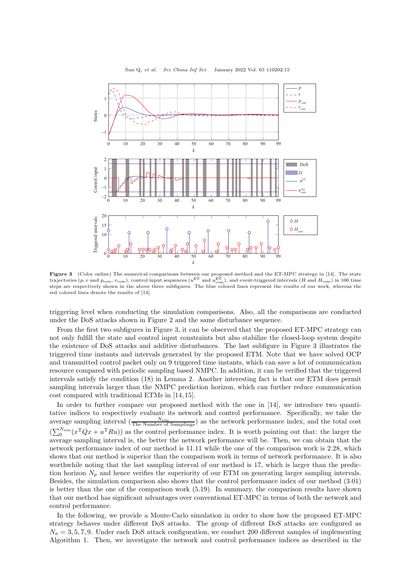<span id="page-14-0"></span>

Figure 3 (Color online) The numerical comparisons between our proposed method and the ET-MPC strategy in [\[14\]](#page-15-11). The state trajectories (p, v and  $p_{\text{com}}$ , v<sub>com</sub>), control input sequences ( $u^{\text{ET}}$  and  $u^{\text{ET}}_{\text{com}}$ ), and event-triggered intervals (H and  $H_{\text{com}}$ ) in 100 time steps are respectively shown in the above three subfigures. The blue colored lines represent the results of our work, whereas the red colored lines denote the results of [14].

triggering level when conducting the simulation comparisons. Also, all the comparisons are conducted under the DoS attacks shown in Figure [2](#page-13-2) and the same disturbance sequence.

From the first two subfigures in Figure [3,](#page-14-0) it can be observed that the proposed ET-MPC strategy can not only fulfill the state and control input constraints but also stabilize the closed-loop system despite the existence of DoS attacks and additive disturbances. The last subfigure in Figure [3](#page-14-0) illustrates the triggered time instants and intervals generated by the proposed ETM. Note that we have solved OCP and transmitted control packet only on 9 triggered time instants, which can save a lot of communication resource compared with periodic sampling based NMPC. In addition, it can be verified that the triggered intervals satisfy the condition [\(18\)](#page-8-0) in Lemma [2.](#page-7-2) Another interesting fact is that our ETM does permit sampling intervals larger than the NMPC prediction horizon, which can further reduce communication cost compared with traditional ETMs in [\[14,](#page-15-11) [15\]](#page-15-12).

In order to further compare our proposed method with the one in [\[14\]](#page-15-11), we introduce two quantitative indices to respectively evaluate its network and control performance. Specifically, we take the average sampling interval  $\left(\frac{N_{\text{sim}}}{\text{The Number of Samples}}\right)$  as the network performance index, and the total cost  $(\sum_{0}^{N_{\text{sim}}}(x^{T}Qx + u^{T}Ru))$  as the control performance index. It is worth pointing out that: the larger the average sampling interval is, the better the network performance will be. Then, we can obtain that the network performance index of our method is 11.11 while the one of the comparison work is 2.28, which shows that our method is superior than the comparison work in terms of network performance. It is also worthwhile noting that the last sampling interval of our method is 17, which is larger than the prediction horizon  $N_p$  and hence verifies the superiority of our ETM on generating larger sampling intervals. Besides, the simulation comparison also shows that the control performance index of our method (3.01) is better than the one of the comparison work (5.19). In summary, the comparison results have shown that our method has significant advantages over conventional ET-MPC in terms of both the network and control performance.

In the following, we provide a Monte-Carlo simulation in order to show how the proposed ET-MPC strategy behaves under different DoS attacks. The group of different DoS attacks are configured as  $N_a = 3, 5, 7, 9$ . Under each DoS attack configuration, we conduct 200 different samples of implementing Algorithm [1.](#page-7-1) Then, we investigate the network and control performance indices as described in the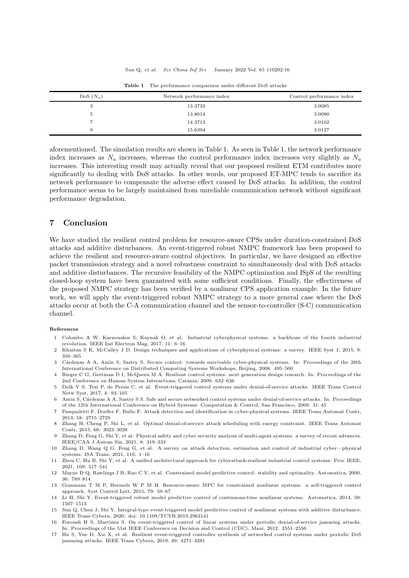<span id="page-15-16"></span>

| $DoS(N_a)$ | Network performance index | Control performance index |
|------------|---------------------------|---------------------------|
| 3          | 13.3733                   | 3.0085                    |
| Ð          | 13.8014                   | 3.0090                    |
| −          | 14.3713                   | 3.0102                    |
|            | 15.6394                   | 3.0127                    |

Table 1 The performance comparison under different DoS attacks

aforementioned. The simulation results are shown in Table [1.](#page-15-16) As seen in Table [1,](#page-15-16) the network performance index increases as  $N_a$  increases, whereas the control performance index increases very slightly as  $N_a$ increases. This interesting result may actually reveal that our proposed resilient ETM contributes more significantly to dealing with DoS attacks. In other words, our proposed ET-MPC tends to sacrifice its network performance to compensate the adverse effect caused by DoS attacks. In addition, the control performance seems to be largely maintained from unreliable communication network without significant performance degradation.

# <span id="page-15-15"></span>7 Conclusion

We have studied the resilient control problem for resource-aware CPSs under duration-constrained DoS attacks and additive disturbances. An event-triggered robust NMPC framework has been proposed to achieve the resilient and resource-aware control objectives. In particular, we have designed an effective packet transmission strategy and a novel robustness constraint to simultaneously deal with DoS attacks and additive disturbances. The recursive feasibility of the NMPC optimization and ISpS of the resulting closed-loop system have been guaranteed with some sufficient conditions. Finally, the effectiveness of the proposed NMPC strategy has been verified by a nonlinear CPS application example. In the future work, we will apply the event-triggered robust NMPC strategy to a more general case where the DoS attacks occur at both the C-A communication channel and the sensor-to-controller (S-C) communication channel.

#### <span id="page-15-0"></span>References

- 1 Colombo A W, Karnouskos S, Kaynak O, et al. Industrial cyberphysical systems: a backbone of the fourth industrial revolution. [IEEE Ind Electron Mag,](https://doi.org/10.1109/MIE.2017.2648857) 2017, 11: 6–16
- <span id="page-15-1"></span>2 Khaitan S K, McCalley J D. Design techniques and applications of cyberphysical systems: a survey. [IEEE Syst J,](https://doi.org/10.1109/JSYST.2014.2322503) 2015, 9: 350–365
- <span id="page-15-2"></span>3 C´ardenas A A, Amin S, Sastry S. Secure control: towards survivable cyber-physical systems. In: Proceedings of the 28th International Conference on Distributed Computing Systems Workshops, Beijing, 2008. 495–500
- <span id="page-15-3"></span>4 Rieger C G, Gertman D I, McQueen M A. Resilient control systems: next generation design research. In: Proceedings of the 2nd Conference on Human System Interactions, Catania, 2009. 632–636
- <span id="page-15-4"></span>5 Dolk V S, Tesi P, de Persis C, et al. Event-triggered control systems under denial-of-service attacks. IEEE Trans Control Netw Syst, 2017, 4: 93–105
- <span id="page-15-5"></span>6 Amin S, C´ardenas A A, Sastry S S. Safe and secure networked control systems under denial-of-service attacks. In: Proceedings of the 12th International Conference on Hybrid Systems: Computation & Control, San Francisco, 2009. 31–45
- <span id="page-15-6"></span>7 Pasqualetti F, Dorfler F, Bullo F. Attack detection and identification in cyber-physical systems. [IEEE Trans Automat Contr,](https://doi.org/10.1109/TAC.2013.2266831) 2013, 58: 2715–2729
- <span id="page-15-7"></span>8 Zhan[g H, Cheng P, Shi L, et al. Optimal denial-of-service attack scheduling with energy constraint.](https://doi.org/10.1109/TAC.2015.2409905) IEEE Trans Automat Contr, 2015, 60: 3023–3028
- 9 Zhang D, Feng G, Shi Y, et al. Physical safety and cyber security analysis of multi-agent systems: a survey of recent advances. [IEEE/CAA J Autom Sin,](https://doi.org/10.1109/JAS.2021.1003820) 2021, 8: 319–333
- 10 Zhang D, Wang Q G, Feng G, et al. A survey on attack detection, estimation and control of industrial cyber—physical systems. ISA Trans, 2021, 116: 1–16
- <span id="page-15-8"></span>11 Zhou C, Hu B, Shi Y, et al. A unified architectural approach for cyberattack-resilient industrial control systems. [Proc IEEE,](https://doi.org/10.1109/JPROC.2020.3034595) 2021, 109: 517–541
- <span id="page-15-9"></span>12 Mayne D Q, Rawlings J B, Rao C V, et al. Constrained model predictive control: stability and optimality. [Automatica,](https://doi.org/10.1016/S0005-1098(99)00214-9) 2000, 36: 789–814
- <span id="page-15-10"></span>13 Gommans T M P, Heemels W P M H. Resource-aware MPC for constrained nonlinear systems: a self-triggered control approach. [Syst Control Lett,](https://doi.org/10.1016/j.sysconle.2015.03.003) 2015, 79: 59–67
- <span id="page-15-11"></span>14 Li H, Shi Y. Event-triggered robust model predictive control of continuous-time nonlinear systems. [Automatica,](https://doi.org/10.1016/j.automatica.2014.03.015) 2014, 50: 1507–1513
- <span id="page-15-12"></span>15 Sun Q, Chen J, Shi Y. Integral-type event-triggered model predictive control of nonlinear systems with additive disturbance. IEEE Trans Cybern, 2020. doi: 10.1109/TCYB.2019.2963141
- <span id="page-15-13"></span>16 Foroush H S, Martinez S. On event-triggered control of linear systems under periodic denial-of-service jamming attacks. In: Proceedings of the 51st IEEE Conference on Decision and Control (CDC), Maui, 2012. 2551–2556
- <span id="page-15-14"></span>17 Hu S, Yue D, Xie X, et al. Resilient event-triggered controller synthesis of networked control systems under periodic DoS jamming attacks. [IEEE Trans Cybern,](https://doi.org/10.1109/TCYB.2018.2861834) 2019, 49: 4271–4281